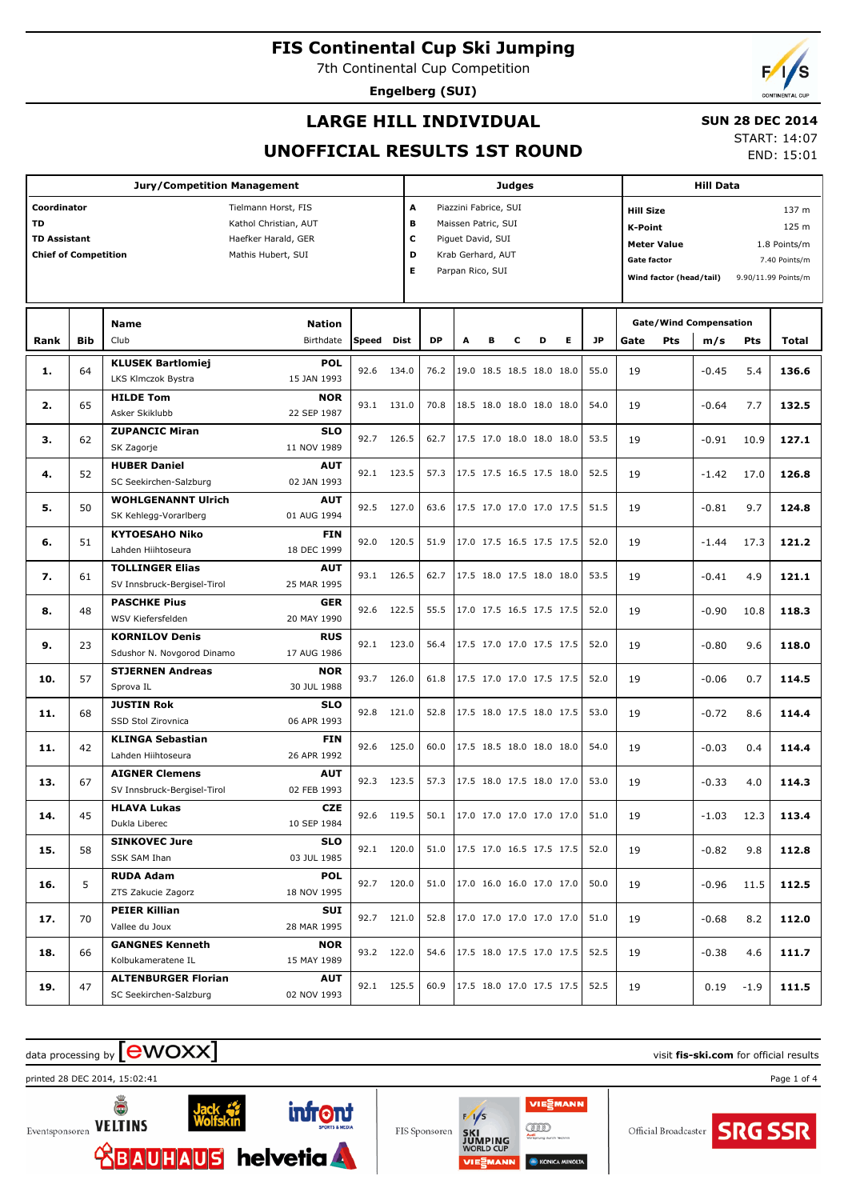7th Continental Cup Competition

**Engelberg (SUI)**

## **LARGE HILL INDIVIDUAL**

### **SUN 28 DEC 2014**

**UNOFFICIAL RESULTS 1ST ROUND**

START: 14:07 END: 15:01

|                             |            | <b>Jury/Competition Management</b>                |       |             |                               |                               |   | <b>Judges</b> |                          |   |           |                    |                         |                                      |        |                     |
|-----------------------------|------------|---------------------------------------------------|-------|-------------|-------------------------------|-------------------------------|---|---------------|--------------------------|---|-----------|--------------------|-------------------------|--------------------------------------|--------|---------------------|
| Coordinator                 |            | Tielmann Horst, FIS                               |       | A           |                               | Piazzini Fabrice, SUI         |   |               |                          |   |           | <b>Hill Size</b>   |                         |                                      |        | 137 m               |
| <b>TD</b>                   |            | Kathol Christian, AUT                             |       | В           |                               | Maissen Patric, SUI           |   |               |                          |   |           | <b>K-Point</b>     |                         |                                      |        | 125 m               |
| <b>TD Assistant</b>         |            | Haefker Harald, GER                               |       | c           |                               | Piguet David, SUI             |   |               |                          |   |           |                    | <b>Meter Value</b>      |                                      |        | 1.8 Points/m        |
| <b>Chief of Competition</b> |            | Mathis Hubert, SUI                                |       | D           |                               | Krab Gerhard, AUT             |   |               |                          |   |           | <b>Gate factor</b> |                         |                                      |        | 7.40 Points/m       |
|                             |            |                                                   |       |             | Е                             | Parpan Rico, SUI              |   |               |                          |   |           |                    | Wind factor (head/tail) |                                      |        | 9.90/11.99 Points/m |
|                             |            |                                                   |       |             |                               |                               |   |               |                          |   |           |                    |                         |                                      |        |                     |
|                             |            |                                                   |       |             |                               |                               |   |               |                          |   |           |                    |                         |                                      |        |                     |
| Rank                        | <b>Bib</b> | <b>Nation</b><br><b>Name</b><br>Birthdate<br>Club | Speed | <b>Dist</b> | <b>DP</b>                     | A                             | в | c             | D                        | Е | <b>JP</b> | Gate               | <b>Pts</b>              | <b>Gate/Wind Compensation</b><br>m/s | Pts    | Total               |
|                             |            | <b>KLUSEK Bartlomiej</b><br><b>POL</b>            |       |             |                               |                               |   |               |                          |   |           |                    |                         |                                      |        |                     |
| 1.                          | 64         | LKS Klmczok Bystra<br>15 JAN 1993                 | 92.6  | 134.0       | 76.2                          |                               |   |               | 19.0 18.5 18.5 18.0 18.0 |   | 55.0      | 19                 |                         | $-0.45$                              | 5.4    | 136.6               |
|                             |            | <b>HILDE Tom</b><br><b>NOR</b>                    |       |             |                               |                               |   |               |                          |   |           |                    |                         |                                      |        |                     |
| 2.                          | 65         | 22 SEP 1987<br>Asker Skiklubb                     | 93.1  | 131.0       | 70.8                          |                               |   |               | 18.5 18.0 18.0 18.0 18.0 |   | 54.0      | 19                 |                         | $-0.64$                              | 7.7    | 132.5               |
|                             |            | <b>ZUPANCIC Miran</b><br><b>SLO</b>               |       |             |                               |                               |   |               |                          |   |           |                    |                         |                                      |        |                     |
| з.                          | 62         | 11 NOV 1989<br>SK Zagorje                         | 92.7  | 126.5       | 62.7                          |                               |   |               | 17.5 17.0 18.0 18.0 18.0 |   | 53.5      | 19                 |                         | $-0.91$                              | 10.9   | 127.1               |
|                             |            | <b>HUBER Daniel</b><br><b>AUT</b>                 |       |             |                               |                               |   |               |                          |   |           |                    |                         |                                      |        |                     |
| 4.                          | 52         | SC Seekirchen-Salzburg<br>02 JAN 1993             | 92.1  | 123.5       | 57.3                          |                               |   |               | 17.5 17.5 16.5 17.5 18.0 |   | 52.5      | 19                 |                         | $-1.42$                              | 17.0   | 126.8               |
|                             |            | <b>WOHLGENANNT Ulrich</b><br><b>AUT</b>           |       |             |                               |                               |   |               |                          |   |           |                    |                         |                                      |        |                     |
| 5.                          | 50         | 01 AUG 1994<br>SK Kehlegg-Vorarlberg              | 92.5  | 127.0       | 63.6                          |                               |   |               | 17.5 17.0 17.0 17.0 17.5 |   | 51.5      | 19                 |                         | $-0.81$                              | 9.7    | 124.8               |
|                             |            | <b>KYTOESAHO Niko</b><br><b>FIN</b>               |       |             |                               |                               |   |               |                          |   |           |                    |                         |                                      |        |                     |
| 6.                          | 51         | 18 DEC 1999<br>Lahden Hiihtoseura                 | 92.0  | 120.5       | 51.9                          |                               |   |               | 17.0 17.5 16.5 17.5 17.5 |   | 52.0      | 19                 |                         | $-1.44$                              | 17.3   | 121.2               |
|                             |            | <b>TOLLINGER Elias</b><br><b>AUT</b>              | 93.1  | 126.5       | 62.7                          |                               |   |               | 17.5 18.0 17.5 18.0 18.0 |   | 53.5      | 19                 |                         |                                      | 4.9    | 121.1               |
| 7.                          | 61         | 25 MAR 1995<br>SV Innsbruck-Bergisel-Tirol        |       |             |                               |                               |   |               |                          |   |           |                    |                         | $-0.41$                              |        |                     |
| 8.                          | 48         | <b>PASCHKE Pius</b><br><b>GER</b>                 | 92.6  | 122.5       | 55.5                          |                               |   |               | 17.0 17.5 16.5 17.5 17.5 |   | 52.0      | 19                 |                         | $-0.90$                              | 10.8   | 118.3               |
|                             |            | 20 MAY 1990<br>WSV Kiefersfelden                  |       |             |                               |                               |   |               |                          |   |           |                    |                         |                                      |        |                     |
| 9.                          | 23         | <b>RUS</b><br><b>KORNILOV Denis</b>               | 92.1  | 123.0       | 56.4                          |                               |   |               | 17.5 17.0 17.0 17.5 17.5 |   | 52.0      | 19                 |                         | $-0.80$                              | 9.6    | 118.0               |
|                             |            | 17 AUG 1986<br>Sdushor N. Novgorod Dinamo         |       |             |                               |                               |   |               |                          |   |           |                    |                         |                                      |        |                     |
| 10.                         | 57         | <b>STJERNEN Andreas</b><br><b>NOR</b>             | 93.7  | 126.0       | 61.8                          |                               |   |               | 17.5 17.0 17.0 17.5 17.5 |   | 52.0      | 19                 |                         | $-0.06$                              | 0.7    | 114.5               |
|                             |            | 30 JUL 1988<br>Sprova IL                          |       |             |                               |                               |   |               |                          |   |           |                    |                         |                                      |        |                     |
| 11.                         | 68         | <b>JUSTIN Rok</b><br><b>SLO</b>                   | 92.8  | 121.0       | 52.8                          |                               |   |               | 17.5 18.0 17.5 18.0 17.5 |   | 53.0      | 19                 |                         | $-0.72$                              | 8.6    | 114.4               |
|                             |            | 06 APR 1993<br>SSD Stol Zirovnica                 |       |             |                               |                               |   |               |                          |   |           |                    |                         |                                      |        |                     |
| 11.                         | 42         | <b>KLINGA Sebastian</b><br><b>FIN</b>             | 92.6  | 125.0       | 60.0                          |                               |   |               | 17.5 18.5 18.0 18.0 18.0 |   | 54.0      | 19                 |                         | $-0.03$                              | 0.4    | 114.4               |
|                             |            | 26 APR 1992<br>Lahden Hiihtoseura                 |       |             |                               |                               |   |               |                          |   |           |                    |                         |                                      |        |                     |
| 13.                         | 67         | <b>AIGNER Clemens</b><br><b>AUT</b>               |       | 92.3 123.5  | 57.3                          |                               |   |               | 17.5 18.0 17.5 18.0 17.0 |   | 53.0      | 19                 |                         | $-0.33$                              | 4.0    | 114.3               |
|                             |            | 02 FEB 1993<br>SV Innsbruck-Bergisel-Tirol        |       |             |                               |                               |   |               |                          |   |           |                    |                         |                                      |        |                     |
| 14.                         | 45         | <b>HLAVA Lukas</b><br><b>CZE</b>                  |       | 92.6 119.5  | 50.1 17.0 17.0 17.0 17.0 17.0 |                               |   |               |                          |   | 51.0      | 19                 |                         | $-1.03$ 12.3                         |        | 113.4               |
|                             |            | Dukla Liberec<br>10 SEP 1984                      |       |             |                               |                               |   |               |                          |   |           |                    |                         |                                      |        |                     |
| 15.                         | 58         | <b>SINKOVEC Jure</b><br><b>SLO</b>                |       | 92.1 120.0  |                               | 51.0 17.5 17.0 16.5 17.5 17.5 |   |               |                          |   | 52.0      | 19                 |                         | $-0.82$                              | 9.8    | 112.8               |
|                             |            | 03 JUL 1985<br>SSK SAM Ihan                       |       |             |                               |                               |   |               |                          |   |           |                    |                         |                                      |        |                     |
| 16.                         | 5          | <b>RUDA Adam</b><br><b>POL</b>                    |       | 92.7 120.0  | 51.0                          |                               |   |               | 17.0 16.0 16.0 17.0 17.0 |   | 50.0      | 19                 |                         | $-0.96$                              | 11.5   | 112.5               |
|                             |            | ZTS Zakucie Zagorz<br>18 NOV 1995                 |       |             |                               |                               |   |               |                          |   |           |                    |                         |                                      |        |                     |
| 17.                         | 70         | <b>PEIER Killian</b><br>SUI                       |       | 92.7 121.0  | 52.8                          |                               |   |               | 17.0 17.0 17.0 17.0 17.0 |   | 51.0      | 19                 |                         | $-0.68$                              | 8.2    | 112.0               |
|                             |            | Vallee du Joux<br>28 MAR 1995                     |       |             |                               |                               |   |               |                          |   |           |                    |                         |                                      |        |                     |
| 18.                         | 66         | <b>GANGNES Kenneth</b><br><b>NOR</b>              |       | 93.2 122.0  | 54.6                          |                               |   |               | 17.5 18.0 17.5 17.0 17.5 |   | 52.5      | 19                 |                         | $-0.38$                              | 4.6    | 111.7               |
|                             |            | Kolbukameratene IL<br>15 MAY 1989                 |       |             |                               |                               |   |               |                          |   |           |                    |                         |                                      |        |                     |
| 19.                         | 47         | <b>ALTENBURGER Florian</b><br><b>AUT</b>          |       | 92.1 125.5  | 60.9                          |                               |   |               | 17.5 18.0 17.0 17.5 17.5 |   | 52.5      | 19                 |                         | 0.19                                 | $-1.9$ | 111.5               |
|                             |            | 02 NOV 1993<br>SC Seekirchen-Salzburg             |       |             |                               |                               |   |               |                          |   |           |                    |                         |                                      |        |                     |

# data processing by **CWOXX** and  $\blacksquare$  and  $\blacksquare$  and  $\blacksquare$  and  $\blacksquare$  and  $\blacksquare$  and  $\blacksquare$  and  $\blacksquare$  and  $\blacksquare$  and  $\blacksquare$  and  $\blacksquare$  and  $\blacksquare$  and  $\blacksquare$  and  $\blacksquare$  and  $\blacksquare$  and  $\blacksquare$  and  $\blacksquare$  and  $\blacksquare$  and  $\blacks$

printed 28 DEC 2014, 15:02:41 Page 1 of 4



FIS Sponsoren

VIESMANN  $F/1/s$ gm **KONICA M** 

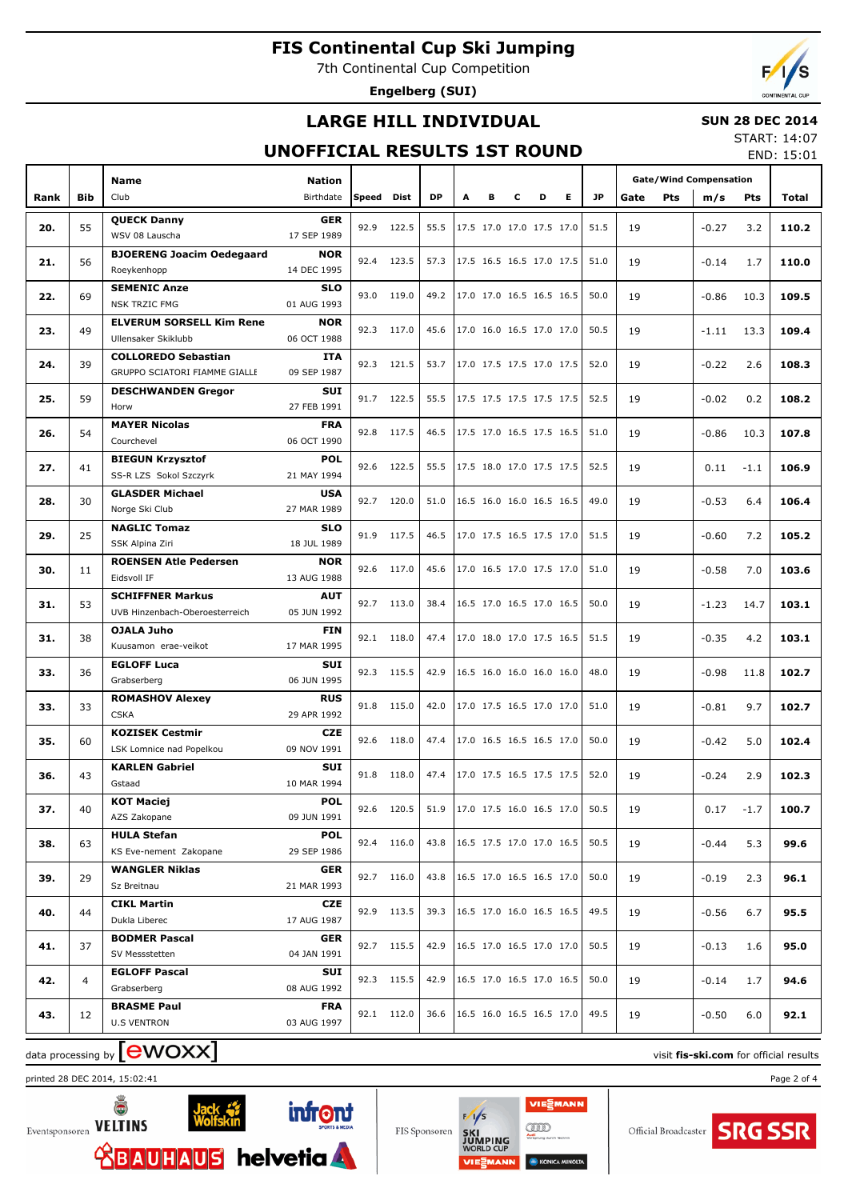7th Continental Cup Competition

**Engelberg (SUI)**

# **LARGE HILL INDIVIDUAL**

### **SUN 28 DEC 2014**

### **UNOFFICIAL RESULTS 1ST ROUND**

START: 14:07 END: 15:01

|      |            | <b>Name</b>                                  | Nation                    |            |            |           |   |                          |   |   |   |      | <b>Gate/Wind Compensation</b> |            |         |        |       |
|------|------------|----------------------------------------------|---------------------------|------------|------------|-----------|---|--------------------------|---|---|---|------|-------------------------------|------------|---------|--------|-------|
| Rank | <b>Bib</b> | Club                                         | Birthdate                 | Speed Dist |            | <b>DP</b> | A | в                        | c | D | Е | JP   | Gate                          | <b>Pts</b> | m/s     | Pts    | Total |
|      |            | <b>QUECK Danny</b>                           | <b>GER</b>                |            |            |           |   |                          |   |   |   |      |                               |            |         |        |       |
| 20.  | 55         | WSV 08 Lauscha                               | 17 SEP 1989               | 92.9       | 122.5      | 55.5      |   | 17.5 17.0 17.0 17.5 17.0 |   |   |   | 51.5 | 19                            |            | $-0.27$ | 3.2    | 110.2 |
| 21.  | 56         | <b>BJOERENG Joacim Oedegaard</b>             | <b>NOR</b>                |            | 92.4 123.5 | 57.3      |   | 17.5 16.5 16.5 17.0 17.5 |   |   |   | 51.0 | 19                            |            | $-0.14$ | 1.7    | 110.0 |
|      |            | Roeykenhopp                                  | 14 DEC 1995               |            |            |           |   |                          |   |   |   |      |                               |            |         |        |       |
| 22.  | 69         | <b>SEMENIC Anze</b>                          | <b>SLO</b>                |            | 93.0 119.0 | 49.2      |   | 17.0 17.0 16.5 16.5 16.5 |   |   |   | 50.0 | 19                            |            | $-0.86$ | 10.3   | 109.5 |
|      |            | <b>NSK TRZIC FMG</b>                         | 01 AUG 1993               |            |            |           |   |                          |   |   |   |      |                               |            |         |        |       |
| 23.  | 49         | <b>ELVERUM SORSELL Kim Rene</b>              | <b>NOR</b>                |            | 92.3 117.0 | 45.6      |   | 17.0 16.0 16.5 17.0 17.0 |   |   |   | 50.5 | 19                            |            | $-1.11$ | 13.3   | 109.4 |
|      |            | Ullensaker Skiklubb                          | 06 OCT 1988               |            |            |           |   |                          |   |   |   |      |                               |            |         |        |       |
| 24.  | 39         | <b>COLLOREDO Sebastian</b>                   | <b>ITA</b><br>09 SEP 1987 |            | 92.3 121.5 | 53.7      |   | 17.0 17.5 17.5 17.0 17.5 |   |   |   | 52.0 | 19                            |            | $-0.22$ | 2.6    | 108.3 |
|      |            | GRUPPO SCIATORI FIAMME GIALLE                | <b>SUI</b>                |            |            |           |   |                          |   |   |   |      |                               |            |         |        |       |
| 25.  | 59         | <b>DESCHWANDEN Gregor</b><br>Horw            | 27 FEB 1991               |            | 91.7 122.5 | 55.5      |   | 17.5 17.5 17.5 17.5 17.5 |   |   |   | 52.5 | 19                            |            | $-0.02$ | 0.2    | 108.2 |
|      |            | <b>MAYER Nicolas</b>                         | <b>FRA</b>                |            |            |           |   |                          |   |   |   |      |                               |            |         |        |       |
| 26.  | 54         | Courchevel                                   | 06 OCT 1990               |            | 92.8 117.5 | 46.5      |   | 17.5 17.0 16.5 17.5 16.5 |   |   |   | 51.0 | 19                            |            | $-0.86$ | 10.3   | 107.8 |
|      |            | <b>BIEGUN Krzysztof</b>                      | <b>POL</b>                |            |            |           |   |                          |   |   |   |      |                               |            |         |        |       |
| 27.  | 41         | SS-R LZS Sokol Szczyrk                       | 21 MAY 1994               |            | 92.6 122.5 | 55.5      |   | 17.5 18.0 17.0 17.5 17.5 |   |   |   | 52.5 | 19                            |            | 0.11    | $-1.1$ | 106.9 |
|      | 30         | <b>GLASDER Michael</b>                       | <b>USA</b>                |            | 92.7 120.0 | 51.0      |   | 16.5 16.0 16.0 16.5 16.5 |   |   |   | 49.0 | 19                            |            |         |        | 106.4 |
| 28.  |            | Norge Ski Club                               | 27 MAR 1989               |            |            |           |   |                          |   |   |   |      |                               |            | $-0.53$ | 6.4    |       |
| 29.  | 25         | <b>NAGLIC Tomaz</b>                          | <b>SLO</b>                |            | 91.9 117.5 | 46.5      |   | 17.0 17.5 16.5 17.5 17.0 |   |   |   | 51.5 | 19                            |            | $-0.60$ | 7.2    | 105.2 |
|      |            | SSK Alpina Ziri                              | 18 JUL 1989               |            |            |           |   |                          |   |   |   |      |                               |            |         |        |       |
| 30.  | 11         | <b>ROENSEN Atle Pedersen</b>                 | <b>NOR</b>                |            | 92.6 117.0 | 45.6      |   | 17.0 16.5 17.0 17.5 17.0 |   |   |   | 51.0 | 19                            |            | $-0.58$ | 7.0    | 103.6 |
|      |            | Eidsvoll IF                                  | 13 AUG 1988               |            |            |           |   |                          |   |   |   |      |                               |            |         |        |       |
| 31.  | 53         | <b>SCHIFFNER Markus</b>                      | <b>AUT</b>                |            | 92.7 113.0 | 38.4      |   | 16.5 17.0 16.5 17.0 16.5 |   |   |   | 50.0 | 19                            |            | $-1.23$ | 14.7   | 103.1 |
|      |            | UVB Hinzenbach-Oberoesterreich               | 05 JUN 1992               |            |            |           |   |                          |   |   |   |      |                               |            |         |        |       |
| 31.  | 38         | <b>OJALA Juho</b><br>Kuusamon erae-veikot    | <b>FIN</b><br>17 MAR 1995 |            | 92.1 118.0 | 47.4      |   | 17.0 18.0 17.0 17.5 16.5 |   |   |   | 51.5 | 19                            |            | $-0.35$ | 4.2    | 103.1 |
|      |            | <b>EGLOFF Luca</b>                           | <b>SUI</b>                |            |            |           |   |                          |   |   |   |      |                               |            |         |        |       |
| 33.  | 36         | Grabserberg                                  | 06 JUN 1995               |            | 92.3 115.5 | 42.9      |   | 16.5 16.0 16.0 16.0 16.0 |   |   |   | 48.0 | 19                            |            | $-0.98$ | 11.8   | 102.7 |
|      |            | <b>ROMASHOV Alexey</b>                       | <b>RUS</b>                |            |            |           |   |                          |   |   |   |      |                               |            |         |        |       |
| 33.  | 33         | <b>CSKA</b>                                  | 29 APR 1992               |            | 91.8 115.0 | 42.0      |   | 17.0 17.5 16.5 17.0 17.0 |   |   |   | 51.0 | 19                            |            | $-0.81$ | 9.7    | 102.7 |
| 35.  | 60         | <b>KOZISEK Cestmir</b>                       | <b>CZE</b>                |            | 92.6 118.0 | 47.4      |   | 17.0 16.5 16.5 16.5 17.0 |   |   |   | 50.0 | 19                            |            | $-0.42$ | 5.0    | 102.4 |
|      |            | LSK Lomnice nad Popelkou                     | 09 NOV 1991               |            |            |           |   |                          |   |   |   |      |                               |            |         |        |       |
| 36.  | 43         | <b>KARLEN Gabriel</b>                        | <b>SUI</b>                |            | 91.8 118.0 | 47.4      |   | 17.0 17.5 16.5 17.5 17.5 |   |   |   | 52.0 | 19                            |            | $-0.24$ | 2.9    | 102.3 |
|      |            | Gstaad                                       | 10 MAR 1994               |            |            |           |   |                          |   |   |   |      |                               |            |         |        |       |
| 37.  | 40         | <b>KOT Maciej</b>                            | POL                       |            | 92.6 120.5 | 51.9      |   | 17.0 17.5 16.0 16.5 17.0 |   |   |   | 50.5 | 19                            |            | 0.17    | $-1.7$ | 100.7 |
|      |            | AZS Zakopane                                 | 09 JUN 1991               |            |            |           |   |                          |   |   |   |      |                               |            |         |        |       |
| 38.  | 63         | <b>HULA Stefan</b><br>KS Eve-nement Zakopane | <b>POL</b><br>29 SEP 1986 |            | 92.4 116.0 | 43.8      |   | 16.5 17.5 17.0 17.0 16.5 |   |   |   | 50.5 | 19                            |            | $-0.44$ | 5.3    | 99.6  |
|      |            | <b>WANGLER Niklas</b>                        | <b>GER</b>                |            |            |           |   |                          |   |   |   |      |                               |            |         |        |       |
| 39.  | 29         | Sz Breitnau                                  | 21 MAR 1993               |            | 92.7 116.0 | 43.8      |   | 16.5 17.0 16.5 16.5 17.0 |   |   |   | 50.0 | 19                            |            | $-0.19$ | 2.3    | 96.1  |
|      |            | <b>CIKL Martin</b>                           | <b>CZE</b>                |            |            |           |   |                          |   |   |   |      |                               |            |         |        |       |
| 40.  | 44         | Dukla Liberec                                | 17 AUG 1987               |            | 92.9 113.5 | 39.3      |   | 16.5 17.0 16.0 16.5 16.5 |   |   |   | 49.5 | 19                            |            | $-0.56$ | 6.7    | 95.5  |
|      |            | <b>BODMER Pascal</b>                         | <b>GER</b>                |            |            |           |   |                          |   |   |   |      |                               |            |         |        |       |
| 41.  | 37         | SV Messstetten                               | 04 JAN 1991               |            | 92.7 115.5 | 42.9      |   | 16.5 17.0 16.5 17.0 17.0 |   |   |   | 50.5 | 19                            |            | $-0.13$ | 1.6    | 95.0  |
| 42.  | 4          | <b>EGLOFF Pascal</b>                         | SUI                       |            | 92.3 115.5 | 42.9      |   | 16.5 17.0 16.5 17.0 16.5 |   |   |   | 50.0 | 19                            |            |         |        | 94.6  |
|      |            | Grabserberg                                  | 08 AUG 1992               |            |            |           |   |                          |   |   |   |      |                               |            | -0.14   | 1.7    |       |
| 43.  | 12         | <b>BRASME Paul</b>                           | <b>FRA</b>                |            | 92.1 112.0 | 36.6      |   | 16.5 16.0 16.5 16.5 17.0 |   |   |   | 49.5 | 19                            |            | -0.50   | 6.0    | 92.1  |
|      |            | <b>U.S VENTRON</b>                           | 03 AUG 1997               |            |            |           |   |                          |   |   |   |      |                               |            |         |        |       |

# data processing by **CWOXX** and  $\blacksquare$  and  $\blacksquare$  and  $\blacksquare$  and  $\blacksquare$  and  $\blacksquare$  and  $\blacksquare$  and  $\blacksquare$  and  $\blacksquare$  and  $\blacksquare$  and  $\blacksquare$  and  $\blacksquare$  and  $\blacksquare$  and  $\blacksquare$  and  $\blacksquare$  and  $\blacksquare$  and  $\blacksquare$  and  $\blacksquare$  and  $\blacks$

printed 28 DEC 2014, 15:02:41 Page 2 of 4





 $F/1/s$ gm

VIESMANN

**KONICA M** 



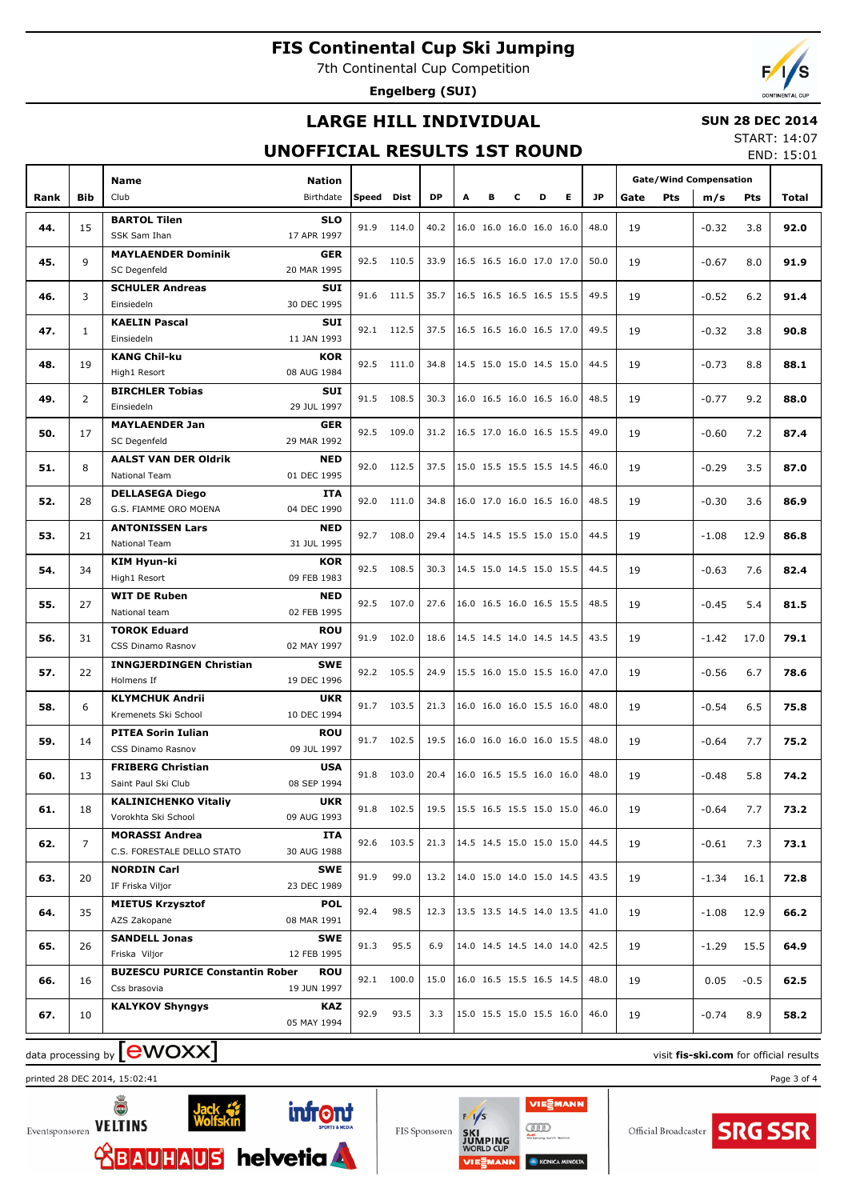7th Continental Cup Competition

**Engelberg (SUI)**

## **LARGE HILL INDIVIDUAL**

### **SUN 28 DEC 2014**

### **UNOFFICIAL RESULTS 1ST ROUND**

START: 14:07 END: 15:01

|      |                | <b>Name</b>                                     | Nation                    |            |            |           |   |   |   |                          |   |      |      |     | <b>Gate/Wind Compensation</b> |        |       |
|------|----------------|-------------------------------------------------|---------------------------|------------|------------|-----------|---|---|---|--------------------------|---|------|------|-----|-------------------------------|--------|-------|
| Rank | <b>Bib</b>     | Club                                            | Birthdate                 | Speed Dist |            | <b>DP</b> | A | в | c | D                        | Е | JP   | Gate | Pts | m/s                           | Pts    | Total |
|      |                | <b>BARTOL Tilen</b>                             | <b>SLO</b>                |            |            |           |   |   |   |                          |   |      |      |     |                               |        |       |
| 44.  | 15             | SSK Sam Ihan                                    | 17 APR 1997               | 91.9       | 114.0      | 40.2      |   |   |   | 16.0 16.0 16.0 16.0 16.0 |   | 48.0 | 19   |     | $-0.32$                       | 3.8    | 92.0  |
|      |                | <b>MAYLAENDER Dominik</b>                       | <b>GER</b>                |            |            |           |   |   |   |                          |   |      |      |     |                               |        |       |
| 45.  | 9              | SC Degenfeld                                    | 20 MAR 1995               |            | 92.5 110.5 | 33.9      |   |   |   | 16.5 16.5 16.0 17.0 17.0 |   | 50.0 | 19   |     | $-0.67$                       | 8.0    | 91.9  |
| 46.  | 3              | <b>SCHULER Andreas</b>                          | <b>SUI</b>                |            | 91.6 111.5 | 35.7      |   |   |   | 16.5 16.5 16.5 16.5 15.5 |   | 49.5 | 19   |     | $-0.52$                       | 6.2    | 91.4  |
|      |                | Einsiedeln                                      | 30 DEC 1995               |            |            |           |   |   |   |                          |   |      |      |     |                               |        |       |
| 47.  | $\mathbf{1}$   | <b>KAELIN Pascal</b>                            | <b>SUI</b>                |            | 92.1 112.5 | 37.5      |   |   |   | 16.5 16.5 16.0 16.5 17.0 |   | 49.5 | 19   |     | $-0.32$                       | 3.8    | 90.8  |
|      |                | Einsiedeln                                      | 11 JAN 1993               |            |            |           |   |   |   |                          |   |      |      |     |                               |        |       |
| 48.  | 19             | <b>KANG Chil-ku</b>                             | <b>KOR</b>                |            | 92.5 111.0 | 34.8      |   |   |   | 14.5 15.0 15.0 14.5 15.0 |   | 44.5 | 19   |     | $-0.73$                       | 8.8    | 88.1  |
|      |                | High1 Resort                                    | 08 AUG 1984               |            |            |           |   |   |   |                          |   |      |      |     |                               |        |       |
| 49.  | $\overline{2}$ | <b>BIRCHLER Tobias</b>                          | <b>SUI</b>                |            | 91.5 108.5 | 30.3      |   |   |   | 16.0 16.5 16.0 16.5 16.0 |   | 48.5 | 19   |     | $-0.77$                       | 9.2    | 88.0  |
|      |                | Einsiedeln                                      | 29 JUL 1997               |            |            |           |   |   |   |                          |   |      |      |     |                               |        |       |
| 50.  | 17             | <b>MAYLAENDER Jan</b>                           | <b>GER</b><br>29 MAR 1992 |            | 92.5 109.0 | 31.2      |   |   |   | 16.5 17.0 16.0 16.5 15.5 |   | 49.0 | 19   |     | $-0.60$                       | 7.2    | 87.4  |
|      |                | SC Degenfeld                                    |                           |            |            |           |   |   |   |                          |   |      |      |     |                               |        |       |
| 51.  | 8              | <b>AALST VAN DER Oldrik</b><br>National Team    | <b>NED</b><br>01 DEC 1995 |            | 92.0 112.5 | 37.5      |   |   |   | 15.0 15.5 15.5 15.5 14.5 |   | 46.0 | 19   |     | $-0.29$                       | 3.5    | 87.0  |
|      |                | <b>DELLASEGA Diego</b>                          | <b>ITA</b>                |            |            |           |   |   |   |                          |   |      |      |     |                               |        |       |
| 52.  | 28             | G.S. FIAMME ORO MOENA                           | 04 DEC 1990               |            | 92.0 111.0 | 34.8      |   |   |   | 16.0 17.0 16.0 16.5 16.0 |   | 48.5 | 19   |     | $-0.30$                       | 3.6    | 86.9  |
|      |                | <b>ANTONISSEN Lars</b>                          | <b>NED</b>                |            |            |           |   |   |   |                          |   |      |      |     |                               |        |       |
| 53.  | 21             | National Team                                   | 31 JUL 1995               | 92.7       | 108.0      | 29.4      |   |   |   | 14.5 14.5 15.5 15.0 15.0 |   | 44.5 | 19   |     | $-1.08$                       | 12.9   | 86.8  |
|      |                | <b>KIM Hyun-ki</b>                              | <b>KOR</b>                |            |            |           |   |   |   |                          |   |      |      |     |                               |        |       |
| 54.  | 34             | High1 Resort                                    | 09 FEB 1983               |            | 92.5 108.5 | 30.3      |   |   |   | 14.5 15.0 14.5 15.0 15.5 |   | 44.5 | 19   |     | $-0.63$                       | 7.6    | 82.4  |
|      |                | <b>WIT DE Ruben</b>                             | <b>NED</b>                |            |            |           |   |   |   |                          |   |      |      |     |                               |        |       |
| 55.  | 27             | National team                                   | 02 FEB 1995               |            | 92.5 107.0 | 27.6      |   |   |   | 16.0 16.5 16.0 16.5 15.5 |   | 48.5 | 19   |     | $-0.45$                       | 5.4    | 81.5  |
| 56.  | 31             | <b>TOROK Eduard</b>                             | <b>ROU</b>                | 91.9       | 102.0      | 18.6      |   |   |   | 14.5 14.5 14.0 14.5 14.5 |   | 43.5 | 19   |     | $-1.42$                       | 17.0   | 79.1  |
|      |                | CSS Dinamo Rasnov                               | 02 MAY 1997               |            |            |           |   |   |   |                          |   |      |      |     |                               |        |       |
| 57.  | 22             | <b>INNGJERDINGEN Christian</b>                  | <b>SWE</b>                |            | 92.2 105.5 | 24.9      |   |   |   | 15.5 16.0 15.0 15.5 16.0 |   | 47.0 | 19   |     | $-0.56$                       | 6.7    | 78.6  |
|      |                | Holmens If                                      | 19 DEC 1996               |            |            |           |   |   |   |                          |   |      |      |     |                               |        |       |
| 58.  | 6              | <b>KLYMCHUK Andrii</b>                          | <b>UKR</b>                | 91.7       | 103.5      | 21.3      |   |   |   | 16.0 16.0 16.0 15.5 16.0 |   | 48.0 | 19   |     | $-0.54$                       | 6.5    | 75.8  |
|      |                | Kremenets Ski School                            | 10 DEC 1994               |            |            |           |   |   |   |                          |   |      |      |     |                               |        |       |
| 59.  | 14             | <b>PITEA Sorin Iulian</b>                       | <b>ROU</b>                | 91.7       | 102.5      | 19.5      |   |   |   | 16.0 16.0 16.0 16.0 15.5 |   | 48.0 | 19   |     | $-0.64$                       | 7.7    | 75.2  |
|      |                | CSS Dinamo Rasnov                               | 09 JUL 1997               |            |            |           |   |   |   |                          |   |      |      |     |                               |        |       |
| 60.  | 13             | <b>FRIBERG Christian</b><br>Saint Paul Ski Club | <b>USA</b><br>08 SEP 1994 |            | 91.8 103.0 | 20.4      |   |   |   | 16.0 16.5 15.5 16.0 16.0 |   | 48.0 | 19   |     | $-0.48$                       | 5.8    | 74.2  |
|      |                | <b>KALINICHENKO Vitaliy</b>                     | <b>UKR</b>                |            |            |           |   |   |   |                          |   |      |      |     |                               |        |       |
| 61.  | 18             | Vorokhta Ski School                             | 09 AUG 1993               |            | 91.8 102.5 | 19.5      |   |   |   | 15.5 16.5 15.5 15.0 15.0 |   | 46.0 | 19   |     | -0.64                         | 7.7    | 73.2  |
|      |                | <b>MORASSI Andrea</b>                           | ITA                       |            |            |           |   |   |   |                          |   |      |      |     |                               |        |       |
| 62.  | $\overline{7}$ | C.S. FORESTALE DELLO STATO                      | 30 AUG 1988               |            | 92.6 103.5 | 21.3      |   |   |   | 14.5 14.5 15.0 15.0 15.0 |   | 44.5 | 19   |     | $-0.61$                       | 7.3    | 73.1  |
|      |                | <b>NORDIN Carl</b>                              | SWE                       |            |            |           |   |   |   |                          |   |      |      |     |                               |        |       |
| 63.  | 20             | IF Friska Viljor                                | 23 DEC 1989               | 91.9       | 99.0       | 13.2      |   |   |   | 14.0 15.0 14.0 15.0 14.5 |   | 43.5 | 19   |     | $-1.34$                       | 16.1   | 72.8  |
|      |                | <b>MIETUS Krzysztof</b>                         | POL                       |            |            |           |   |   |   | 13.5 13.5 14.5 14.0 13.5 |   |      |      |     |                               |        |       |
| 64.  | 35             | AZS Zakopane                                    | 08 MAR 1991               | 92.4       | 98.5       | 12.3      |   |   |   |                          |   | 41.0 | 19   |     | $-1.08$                       | 12.9   | 66.2  |
|      | 26             | <b>SANDELL Jonas</b>                            | SWE                       | 91.3       | 95.5       | 6.9       |   |   |   | 14.0 14.5 14.5 14.0 14.0 |   | 42.5 | 19   |     |                               |        | 64.9  |
| 65.  |                | Friska Viljor                                   | 12 FEB 1995               |            |            |           |   |   |   |                          |   |      |      |     | $-1.29$                       | 15.5   |       |
| 66.  | 16             | <b>BUZESCU PURICE Constantin Rober</b>          | <b>ROU</b>                |            | 92.1 100.0 | 15.0      |   |   |   | 16.0 16.5 15.5 16.5 14.5 |   | 48.0 | 19   |     | 0.05                          | $-0.5$ | 62.5  |
|      |                | Css brasovia                                    | 19 JUN 1997               |            |            |           |   |   |   |                          |   |      |      |     |                               |        |       |
| 67.  | 10             | <b>KALYKOV Shyngys</b>                          | KAZ                       | 92.9       | 93.5       | 3.3       |   |   |   | 15.0 15.5 15.0 15.5 16.0 |   | 46.0 | 19   |     | $-0.74$                       | 8.9    | 58.2  |
|      |                |                                                 | 05 MAY 1994               |            |            |           |   |   |   |                          |   |      |      |     |                               |        |       |

# data processing by **CWOXX** and  $\overline{C}$  and  $\overline{C}$  and  $\overline{C}$  and  $\overline{C}$  and  $\overline{C}$  and  $\overline{C}$  and  $\overline{C}$  and  $\overline{C}$  and  $\overline{C}$  and  $\overline{C}$  and  $\overline{C}$  and  $\overline{C}$  and  $\overline{C}$  and  $\overline{C}$  and  $\overline{C}$

printed 28 DEC 2014, 15:02:41 Page 3 of 4





FIS Sponsoren